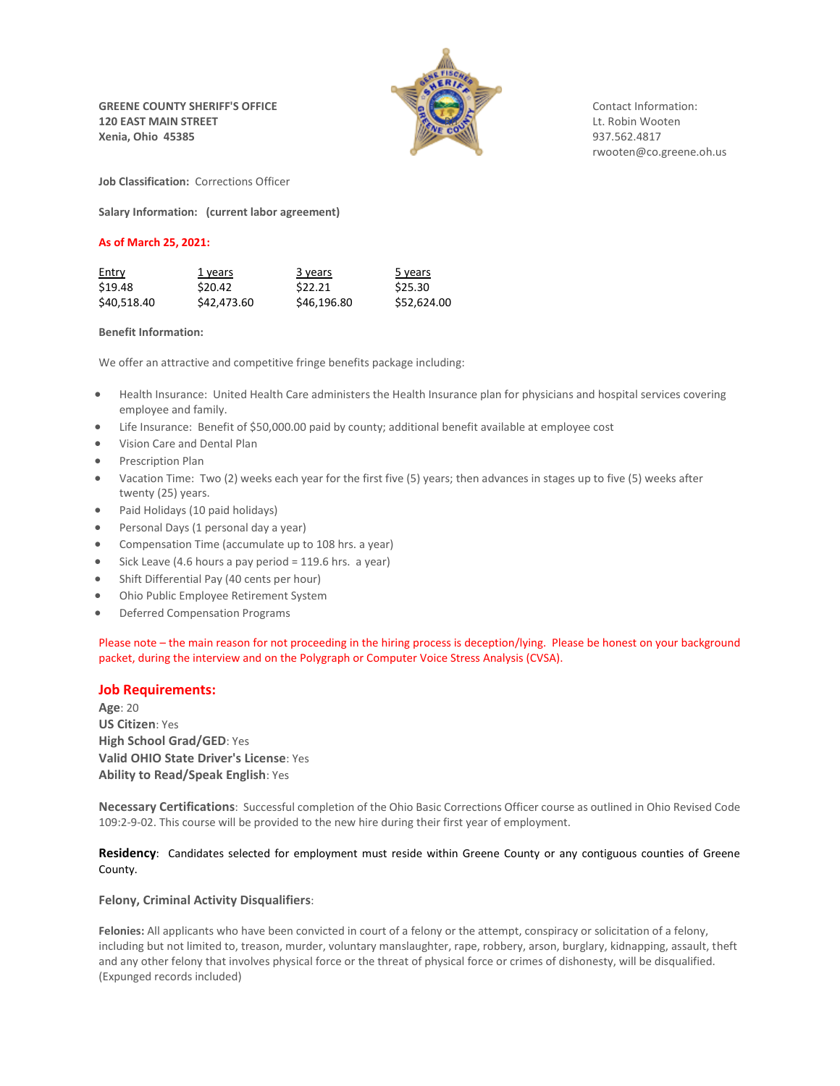**GREENE COUNTY SHERIFF'S OFFICE** COUNTY SHERIFF'S OFFICE **120 EAST MAIN STREET EXECUTE ASSESSED ASSOCIATE Report FOUND ASSOCIATE Report FOUND ASSOCIATE Report FOUND ASSOCIATE Report FOUND ASSOCIATE Report FOUND ASSOCIATE Report FOUND ASSOCIATE Report FOUND ASSOCI Xenia, Ohio 45385** 937.562.4817



rwooten@co.greene.oh.us

**Job Classification:** Corrections Officer

**Salary Information: (current labor agreement)**

# **As of March 25, 2021:**

| <b>Entry</b> | 1 years            | 3 years     | 5 years     |
|--------------|--------------------|-------------|-------------|
| \$19.48      | S <sub>20.42</sub> | \$22.21     | \$25.30     |
| \$40,518.40  | \$42,473.60        | \$46,196.80 | \$52,624.00 |

### **Benefit Information:**

We offer an attractive and competitive fringe benefits package including:

- Health Insurance: United Health Care administers the Health Insurance plan for physicians and hospital services covering employee and family.
- Life Insurance: Benefit of \$50,000.00 paid by county; additional benefit available at employee cost
- Vision Care and Dental Plan
- Prescription Plan
- Vacation Time: Two (2) weeks each year for the first five (5) years; then advances in stages up to five (5) weeks after twenty (25) years.
- Paid Holidays (10 paid holidays)
- Personal Days (1 personal day a year)
- Compensation Time (accumulate up to 108 hrs. a year)
- Sick Leave (4.6 hours a pay period = 119.6 hrs. a year)
- Shift Differential Pay (40 cents per hour)
- Ohio Public Employee Retirement System
- Deferred Compensation Programs

Please note – the main reason for not proceeding in the hiring process is deception/lying. Please be honest on your background packet, during the interview and on the Polygraph or Computer Voice Stress Analysis (CVSA).

# **Job Requirements:**

**Age**: 20 **US Citizen**: Yes **High School Grad/GED**: Yes **Valid OHIO State Driver's License**: Yes **Ability to Read/Speak English**: Yes

**Necessary Certifications**: Successful completion of the Ohio Basic Corrections Officer course as outlined in Ohio Revised Code 109:2-9-02. This course will be provided to the new hire during their first year of employment.

**Residency**: Candidates selected for employment must reside within Greene County or any contiguous counties of Greene County.

# **Felony, Criminal Activity Disqualifiers**:

**Felonies:** All applicants who have been convicted in court of a felony or the attempt, conspiracy or solicitation of a felony, including but not limited to, treason, murder, voluntary manslaughter, rape, robbery, arson, burglary, kidnapping, assault, theft and any other felony that involves physical force or the threat of physical force or crimes of dishonesty, will be disqualified. (Expunged records included)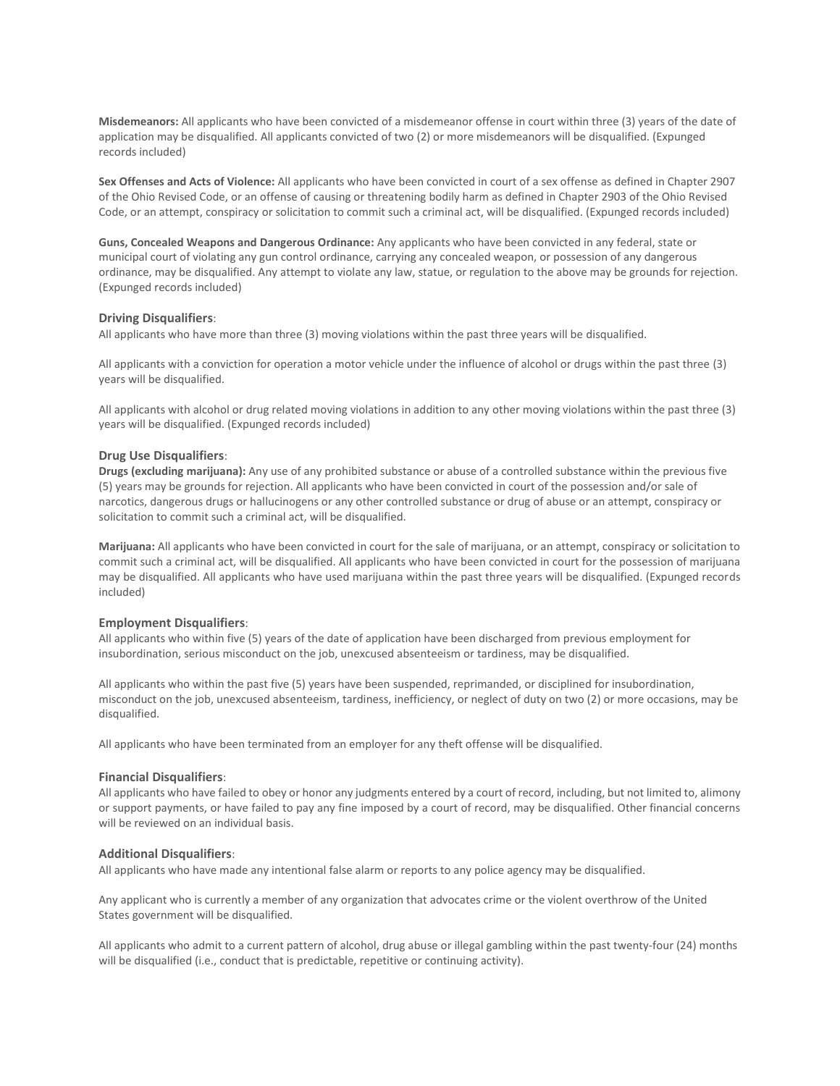**Misdemeanors:** All applicants who have been convicted of a misdemeanor offense in court within three (3) years of the date of application may be disqualified. All applicants convicted of two (2) or more misdemeanors will be disqualified. (Expunged records included)

**Sex Offenses and Acts of Violence:** All applicants who have been convicted in court of a sex offense as defined in Chapter 2907 of the Ohio Revised Code, or an offense of causing or threatening bodily harm as defined in Chapter 2903 of the Ohio Revised Code, or an attempt, conspiracy or solicitation to commit such a criminal act, will be disqualified. (Expunged records included)

**Guns, Concealed Weapons and Dangerous Ordinance:** Any applicants who have been convicted in any federal, state or municipal court of violating any gun control ordinance, carrying any concealed weapon, or possession of any dangerous ordinance, may be disqualified. Any attempt to violate any law, statue, or regulation to the above may be grounds for rejection. (Expunged records included)

# **Driving Disqualifiers**:

All applicants who have more than three (3) moving violations within the past three years will be disqualified.

All applicants with a conviction for operation a motor vehicle under the influence of alcohol or drugs within the past three (3) years will be disqualified.

All applicants with alcohol or drug related moving violations in addition to any other moving violations within the past three (3) years will be disqualified. (Expunged records included)

### **Drug Use Disqualifiers**:

**Drugs (excluding marijuana):** Any use of any prohibited substance or abuse of a controlled substance within the previous five (5) years may be grounds for rejection. All applicants who have been convicted in court of the possession and/or sale of narcotics, dangerous drugs or hallucinogens or any other controlled substance or drug of abuse or an attempt, conspiracy or solicitation to commit such a criminal act, will be disqualified.

**Marijuana:** All applicants who have been convicted in court for the sale of marijuana, or an attempt, conspiracy or solicitation to commit such a criminal act, will be disqualified. All applicants who have been convicted in court for the possession of marijuana may be disqualified. All applicants who have used marijuana within the past three years will be disqualified. (Expunged records included)

#### **Employment Disqualifiers**:

All applicants who within five (5) years of the date of application have been discharged from previous employment for insubordination, serious misconduct on the job, unexcused absenteeism or tardiness, may be disqualified.

All applicants who within the past five (5) years have been suspended, reprimanded, or disciplined for insubordination, misconduct on the job, unexcused absenteeism, tardiness, inefficiency, or neglect of duty on two (2) or more occasions, may be disqualified.

All applicants who have been terminated from an employer for any theft offense will be disqualified.

#### **Financial Disqualifiers**:

All applicants who have failed to obey or honor any judgments entered by a court of record, including, but not limited to, alimony or support payments, or have failed to pay any fine imposed by a court of record, may be disqualified. Other financial concerns will be reviewed on an individual basis.

## **Additional Disqualifiers**:

All applicants who have made any intentional false alarm or reports to any police agency may be disqualified.

Any applicant who is currently a member of any organization that advocates crime or the violent overthrow of the United States government will be disqualified.

All applicants who admit to a current pattern of alcohol, drug abuse or illegal gambling within the past twenty-four (24) months will be disqualified (i.e., conduct that is predictable, repetitive or continuing activity).